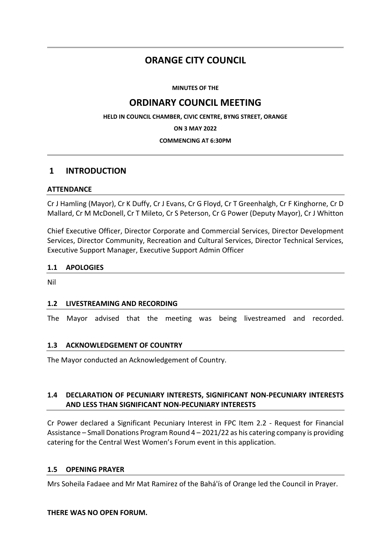# **ORANGE CITY COUNCIL**

**MINUTES OF THE**

# **ORDINARY COUNCIL MEETING**

**HELD IN COUNCIL CHAMBER, CIVIC CENTRE, BYNG STREET, ORANGE**

**ON 3 MAY 2022**

#### **COMMENCING AT 6:30PM**

## **1 INTRODUCTION**

### **ATTENDANCE**

Cr J Hamling (Mayor), Cr K Duffy, Cr J Evans, Cr G Floyd, Cr T Greenhalgh, Cr F Kinghorne, Cr D Mallard, Cr M McDonell, Cr T Mileto, Cr S Peterson, Cr G Power (Deputy Mayor), Cr J Whitton

Chief Executive Officer, Director Corporate and Commercial Services, Director Development Services, Director Community, Recreation and Cultural Services, Director Technical Services, Executive Support Manager, Executive Support Admin Officer

### **1.1 APOLOGIES**

Nil

### **1.2 LIVESTREAMING AND RECORDING**

The Mayor advised that the meeting was being livestreamed and recorded.

### **1.3 ACKNOWLEDGEMENT OF COUNTRY**

The Mayor conducted an Acknowledgement of Country.

## **1.4 DECLARATION OF PECUNIARY INTERESTS, SIGNIFICANT NON-PECUNIARY INTERESTS AND LESS THAN SIGNIFICANT NON-PECUNIARY INTERESTS**

Cr Power declared a Significant Pecuniary Interest in FPC Item 2.2 - Request for Financial Assistance – Small Donations Program Round 4 – 2021/22 as his catering company is providing catering for the Central West Women's Forum event in this application.

### **1.5 OPENING PRAYER**

Mrs Soheila Fadaee and Mr Mat Ramirez of the Bahá'ís of Orange led the Council in Prayer.

### **THERE WAS NO OPEN FORUM.**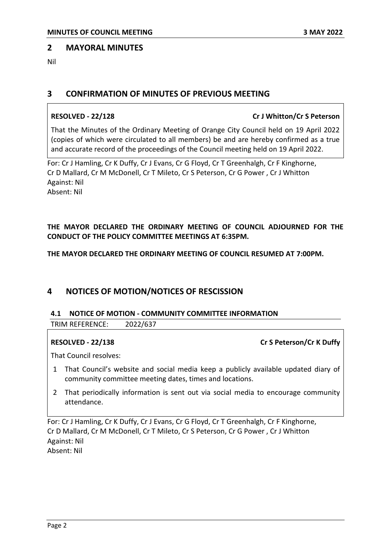### **2 MAYORAL MINUTES**

Nil

## **3 CONFIRMATION OF MINUTES OF PREVIOUS MEETING**

### **RESOLVED - 22/128 Cr J Whitton/Cr S Peterson**

That the Minutes of the Ordinary Meeting of Orange City Council held on 19 April 2022 (copies of which were circulated to all members) be and are hereby confirmed as a true and accurate record of the proceedings of the Council meeting held on 19 April 2022.

For: Cr J Hamling, Cr K Duffy, Cr J Evans, Cr G Floyd, Cr T Greenhalgh, Cr F Kinghorne, Cr D Mallard, Cr M McDonell, Cr T Mileto, Cr S Peterson, Cr G Power , Cr J Whitton Against: Nil Absent: Nil

**THE MAYOR DECLARED THE ORDINARY MEETING OF COUNCIL ADJOURNED FOR THE CONDUCT OF THE POLICY COMMITTEE MEETINGS AT 6:35PM.**

**THE MAYOR DECLARED THE ORDINARY MEETING OF COUNCIL RESUMED AT 7:00PM.**

## **4 NOTICES OF MOTION/NOTICES OF RESCISSION**

### **4.1 NOTICE OF MOTION - COMMUNITY COMMITTEE INFORMATION**

TRIM REFERENCE: 2022/637

## **RESOLVED - 22/138 Cr S Peterson/Cr K Duffy**

That Council resolves:

- 1 That Council's website and social media keep a publicly available updated diary of community committee meeting dates, times and locations.
- 2 That periodically information is sent out via social media to encourage community attendance.

For: Cr J Hamling, Cr K Duffy, Cr J Evans, Cr G Floyd, Cr T Greenhalgh, Cr F Kinghorne, Cr D Mallard, Cr M McDonell, Cr T Mileto, Cr S Peterson, Cr G Power , Cr J Whitton Against: Nil

Absent: Nil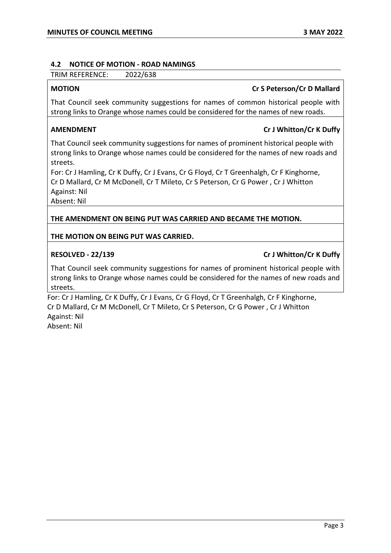#### **4.2 NOTICE OF MOTION - ROAD NAMINGS**

TRIM REFERENCE: 2022/638

## **MOTION Cr S Peterson/Cr D Mallard**

That Council seek community suggestions for names of common historical people with strong links to Orange whose names could be considered for the names of new roads.

## **AMENDMENT Cr J Whitton/Cr K Duffy**

That Council seek community suggestions for names of prominent historical people with strong links to Orange whose names could be considered for the names of new roads and streets.

For: Cr J Hamling, Cr K Duffy, Cr J Evans, Cr G Floyd, Cr T Greenhalgh, Cr F Kinghorne, Cr D Mallard, Cr M McDonell, Cr T Mileto, Cr S Peterson, Cr G Power , Cr J Whitton Against: Nil

Absent: Nil

**THE AMENDMENT ON BEING PUT WAS CARRIED AND BECAME THE MOTION.**

### **THE MOTION ON BEING PUT WAS CARRIED.**

### **RESOLVED - 22/139 Cr J Whitton/Cr K Duffy**

That Council seek community suggestions for names of prominent historical people with strong links to Orange whose names could be considered for the names of new roads and streets.

For: Cr J Hamling, Cr K Duffy, Cr J Evans, Cr G Floyd, Cr T Greenhalgh, Cr F Kinghorne, Cr D Mallard, Cr M McDonell, Cr T Mileto, Cr S Peterson, Cr G Power , Cr J Whitton Against: Nil

Absent: Nil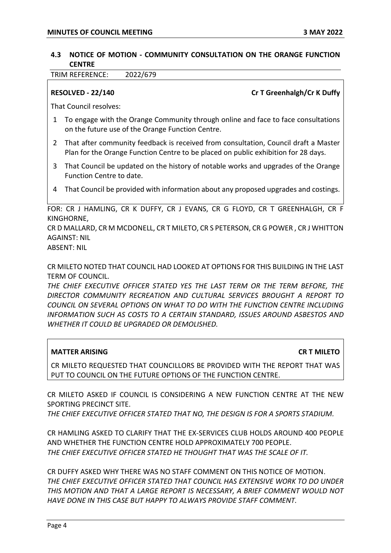### **4.3 NOTICE OF MOTION - COMMUNITY CONSULTATION ON THE ORANGE FUNCTION CENTRE**

TRIM REFERENCE: 2022/679

**RESOLVED - 22/140 Cr T Greenhalgh/Cr K Duffy** 

That Council resolves:

- 1 To engage with the Orange Community through online and face to face consultations on the future use of the Orange Function Centre.
- 2 That after community feedback is received from consultation, Council draft a Master Plan for the Orange Function Centre to be placed on public exhibition for 28 days.
- 3 That Council be updated on the history of notable works and upgrades of the Orange Function Centre to date.
- 4 That Council be provided with information about any proposed upgrades and costings.

FOR: CR J HAMLING, CR K DUFFY, CR J EVANS, CR G FLOYD, CR T GREENHALGH, CR F KINGHORNE,

CR D MALLARD, CR M MCDONELL, CR T MILETO, CR S PETERSON, CR G POWER , CR J WHITTON AGAINST: NIL

ABSENT: NIL

CR MILETO NOTED THAT COUNCIL HAD LOOKED AT OPTIONS FOR THIS BUILDING IN THE LAST TERM OF COUNCIL.

*THE CHIEF EXECUTIVE OFFICER STATED YES THE LAST TERM OR THE TERM BEFORE, THE DIRECTOR COMMUNITY RECREATION AND CULTURAL SERVICES BROUGHT A REPORT TO COUNCIL ON SEVERAL OPTIONS ON WHAT TO DO WITH THE FUNCTION CENTRE INCLUDING INFORMATION SUCH AS COSTS TO A CERTAIN STANDARD, ISSUES AROUND ASBESTOS AND WHETHER IT COULD BE UPGRADED OR DEMOLISHED.*

### **MATTER ARISING CR T MILETO**

CR MILETO REQUESTED THAT COUNCILLORS BE PROVIDED WITH THE REPORT THAT WAS PUT TO COUNCIL ON THE FUTURE OPTIONS OF THE FUNCTION CENTRE.

CR MILETO ASKED IF COUNCIL IS CONSIDERING A NEW FUNCTION CENTRE AT THE NEW SPORTING PRECINCT SITE.

*THE CHIEF EXECUTIVE OFFICER STATED THAT NO, THE DESIGN IS FOR A SPORTS STADIUM.*

CR HAMLING ASKED TO CLARIFY THAT THE EX-SERVICES CLUB HOLDS AROUND 400 PEOPLE AND WHETHER THE FUNCTION CENTRE HOLD APPROXIMATELY 700 PEOPLE. *THE CHIEF EXECUTIVE OFFICER STATED HE THOUGHT THAT WAS THE SCALE OF IT.*

CR DUFFY ASKED WHY THERE WAS NO STAFF COMMENT ON THIS NOTICE OF MOTION. *THE CHIEF EXECUTIVE OFFICER STATED THAT COUNCIL HAS EXTENSIVE WORK TO DO UNDER THIS MOTION AND THAT A LARGE REPORT IS NECESSARY, A BRIEF COMMENT WOULD NOT HAVE DONE IN THIS CASE BUT HAPPY TO ALWAYS PROVIDE STAFF COMMENT.*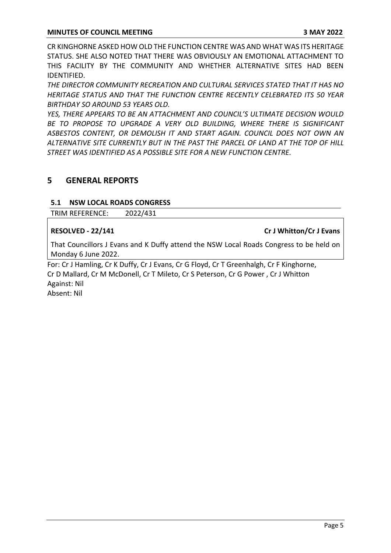CR KINGHORNE ASKED HOW OLD THE FUNCTION CENTRE WAS AND WHAT WAS ITS HERITAGE STATUS. SHE ALSO NOTED THAT THERE WAS OBVIOUSLY AN EMOTIONAL ATTACHMENT TO THIS FACILITY BY THE COMMUNITY AND WHETHER ALTERNATIVE SITES HAD BEEN IDENTIFIED.

*THE DIRECTOR COMMUNITY RECREATION AND CULTURAL SERVICES STATED THAT IT HAS NO HERITAGE STATUS AND THAT THE FUNCTION CENTRE RECENTLY CELEBRATED ITS 50 YEAR BIRTHDAY SO AROUND 53 YEARS OLD.*

*YES, THERE APPEARS TO BE AN ATTACHMENT AND COUNCIL'S ULTIMATE DECISION WOULD BE TO PROPOSE TO UPGRADE A VERY OLD BUILDING, WHERE THERE IS SIGNIFICANT ASBESTOS CONTENT, OR DEMOLISH IT AND START AGAIN. COUNCIL DOES NOT OWN AN ALTERNATIVE SITE CURRENTLY BUT IN THE PAST THE PARCEL OF LAND AT THE TOP OF HILL STREET WAS IDENTIFIED AS A POSSIBLE SITE FOR A NEW FUNCTION CENTRE.*

## **5 GENERAL REPORTS**

### **5.1 NSW LOCAL ROADS CONGRESS**

TRIM REFERENCE: 2022/431

### **RESOLVED - 22/141 Cr J Whitton/Cr J Evans**

That Councillors J Evans and K Duffy attend the NSW Local Roads Congress to be held on Monday 6 June 2022.

For: Cr J Hamling, Cr K Duffy, Cr J Evans, Cr G Floyd, Cr T Greenhalgh, Cr F Kinghorne, Cr D Mallard, Cr M McDonell, Cr T Mileto, Cr S Peterson, Cr G Power , Cr J Whitton Against: Nil

Absent: Nil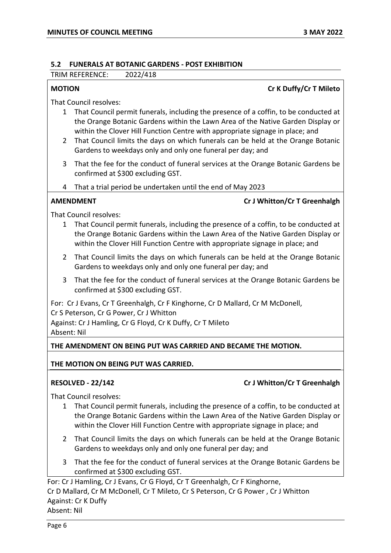#### **5.2 FUNERALS AT BOTANIC GARDENS - POST EXHIBITION**

TRIM REFERENCE: 2022/418

### **MOTION Cr K Duffy/Cr T Mileto**

That Council resolves:

- 1 That Council permit funerals, including the presence of a coffin, to be conducted at the Orange Botanic Gardens within the Lawn Area of the Native Garden Display or within the Clover Hill Function Centre with appropriate signage in place; and
- 2 That Council limits the days on which funerals can be held at the Orange Botanic Gardens to weekdays only and only one funeral per day; and
- 3 That the fee for the conduct of funeral services at the Orange Botanic Gardens be confirmed at \$300 excluding GST.
- 4 That a trial period be undertaken until the end of May 2023

### **AMENDMENT Cr J Whitton/Cr T Greenhalgh**

That Council resolves:

- 1 That Council permit funerals, including the presence of a coffin, to be conducted at the Orange Botanic Gardens within the Lawn Area of the Native Garden Display or within the Clover Hill Function Centre with appropriate signage in place; and
- 2 That Council limits the days on which funerals can be held at the Orange Botanic Gardens to weekdays only and only one funeral per day; and
- 3 That the fee for the conduct of funeral services at the Orange Botanic Gardens be confirmed at \$300 excluding GST.

For: Cr J Evans, Cr T Greenhalgh, Cr F Kinghorne, Cr D Mallard, Cr M McDonell,

Cr S Peterson, Cr G Power, Cr J Whitton

Against: Cr J Hamling, Cr G Floyd, Cr K Duffy, Cr T Mileto Absent: Nil

### **THE AMENDMENT ON BEING PUT WAS CARRIED AND BECAME THE MOTION.**

### **THE MOTION ON BEING PUT WAS CARRIED.**

### **RESOLVED - 22/142 Cr J Whitton/Cr T Greenhalgh**

That Council resolves:

- 1 That Council permit funerals, including the presence of a coffin, to be conducted at the Orange Botanic Gardens within the Lawn Area of the Native Garden Display or within the Clover Hill Function Centre with appropriate signage in place; and
- 2 That Council limits the days on which funerals can be held at the Orange Botanic Gardens to weekdays only and only one funeral per day; and
- 3 That the fee for the conduct of funeral services at the Orange Botanic Gardens be confirmed at \$300 excluding GST.

For: Cr J Hamling, Cr J Evans, Cr G Floyd, Cr T Greenhalgh, Cr F Kinghorne, Cr D Mallard, Cr M McDonell, Cr T Mileto, Cr S Peterson, Cr G Power , Cr J Whitton Against: Cr K Duffy Absent: Nil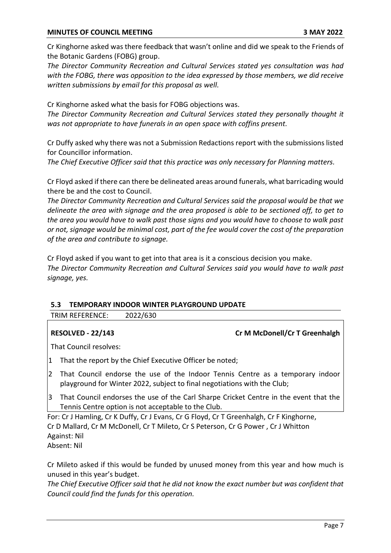Cr Kinghorne asked was there feedback that wasn't online and did we speak to the Friends of the Botanic Gardens (FOBG) group.

*The Director Community Recreation and Cultural Services stated yes consultation was had with the FOBG, there was opposition to the idea expressed by those members, we did receive written submissions by email for this proposal as well.*

Cr Kinghorne asked what the basis for FOBG objections was.

*The Director Community Recreation and Cultural Services stated they personally thought it was not appropriate to have funerals in an open space with coffins present.*

Cr Duffy asked why there was not a Submission Redactions report with the submissions listed for Councillor information.

*The Chief Executive Officer said that this practice was only necessary for Planning matters.*

Cr Floyd asked if there can there be delineated areas around funerals, what barricading would there be and the cost to Council.

*The Director Community Recreation and Cultural Services said the proposal would be that we delineate the area with signage and the area proposed is able to be sectioned off, to get to the area you would have to walk past those signs and you would have to choose to walk past or not, signage would be minimal cost, part of the fee would cover the cost of the preparation of the area and contribute to signage.*

Cr Floyd asked if you want to get into that area is it a conscious decision you make. *The Director Community Recreation and Cultural Services said you would have to walk past signage, yes.*

### **5.3 TEMPORARY INDOOR WINTER PLAYGROUND UPDATE**

TRIM REFERENCE: 2022/630

### **RESOLVED - 22/143 Cr M McDonell/Cr T Greenhalgh**

That Council resolves:

- 1 That the report by the Chief Executive Officer be noted;
- 2 That Council endorse the use of the Indoor Tennis Centre as a temporary indoor playground for Winter 2022, subject to final negotiations with the Club;
- 3 That Council endorses the use of the Carl Sharpe Cricket Centre in the event that the Tennis Centre option is not acceptable to the Club.

For: Cr J Hamling, Cr K Duffy, Cr J Evans, Cr G Floyd, Cr T Greenhalgh, Cr F Kinghorne, Cr D Mallard, Cr M McDonell, Cr T Mileto, Cr S Peterson, Cr G Power , Cr J Whitton Against: Nil

Absent: Nil

Cr Mileto asked if this would be funded by unused money from this year and how much is unused in this year's budget.

*The Chief Executive Officer said that he did not know the exact number but was confident that Council could find the funds for this operation.*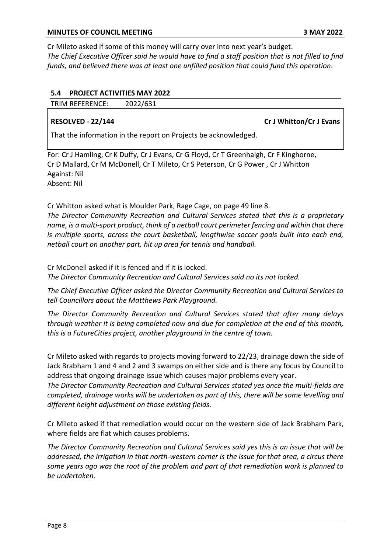Cr Mileto asked if some of this money will carry over into next year's budget. *The Chief Executive Officer said he would have to find a staff position that is not filled to find funds, and believed there was at least one unfilled position that could fund this operation.*

### **5.4 PROJECT ACTIVITIES MAY 2022**

TRIM REFERENCE: 2022/631

**RESOLVED - 22/144 Cr J Whitton/Cr J Evans** 

That the information in the report on Projects be acknowledged.

For: Cr J Hamling, Cr K Duffy, Cr J Evans, Cr G Floyd, Cr T Greenhalgh, Cr F Kinghorne, Cr D Mallard, Cr M McDonell, Cr T Mileto, Cr S Peterson, Cr G Power , Cr J Whitton Against: Nil Absent: Nil

Cr Whitton asked what is Moulder Park, Rage Cage, on page 49 line 8. *The Director Community Recreation and Cultural Services stated that this is a proprietary name, is a multi-sport product, think of a netball court perimeter fencing and within that there is multiple sports, across the court basketball, lengthwise soccer goals built into each end, netball court on another part, hit up area for tennis and handball.*

Cr McDonell asked if it is fenced and if it is locked.

*The Director Community Recreation and Cultural Services said no its not locked.*

*The Chief Executive Officer asked the Director Community Recreation and Cultural Services to tell Councillors about the Matthews Park Playground.*

*The Director Community Recreation and Cultural Services stated that after many delays through weather it is being completed now and due for completion at the end of this month, this is a FutureCities project, another playground in the centre of town.*

Cr Mileto asked with regards to projects moving forward to 22/23, drainage down the side of Jack Brabham 1 and 4 and 2 and 3 swamps on either side and is there any focus by Council to address that ongoing drainage issue which causes major problems every year.

*The Director Community Recreation and Cultural Services stated yes once the multi-fields are completed, drainage works will be undertaken as part of this, there will be some levelling and different height adjustment on those existing fields.*

Cr Mileto asked if that remediation would occur on the western side of Jack Brabham Park, where fields are flat which causes problems.

*The Director Community Recreation and Cultural Services said yes this is an issue that will be addressed, the irrigation in that north-western corner is the issue for that area, a circus there some years ago was the root of the problem and part of that remediation work is planned to be undertaken.*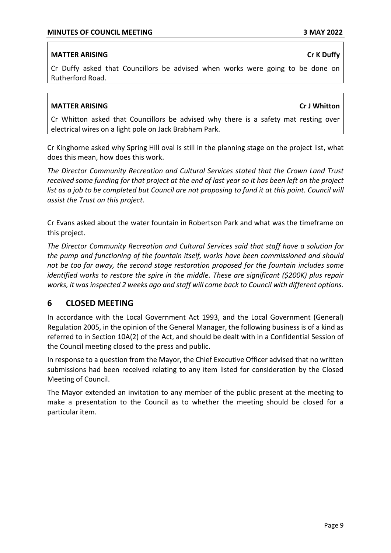## **MATTER ARISING Critical Critical Critical Critical Critical Critical Critical Critical Critical Critical Critical Critical Critical Critical Critical Critical Critical Critical Critical Critical Critical Critical Critical**

## Cr Duffy asked that Councillors be advised when works were going to be done on Rutherford Road.

### **MATTER ARISING Criminal Criminal Criminal Criminal Criminal Criminal Criminal Criminal Criminal Criminal Criminal Criminal Criminal Criminal Criminal Criminal Criminal Criminal Criminal Criminal Criminal Criminal Crimin**

Cr Whitton asked that Councillors be advised why there is a safety mat resting over electrical wires on a light pole on Jack Brabham Park.

Cr Kinghorne asked why Spring Hill oval is still in the planning stage on the project list, what does this mean, how does this work.

*The Director Community Recreation and Cultural Services stated that the Crown Land Trust received some funding for that project at the end of last year so it has been left on the project list as a job to be completed but Council are not proposing to fund it at this point. Council will assist the Trust on this project.*

Cr Evans asked about the water fountain in Robertson Park and what was the timeframe on this project.

*The Director Community Recreation and Cultural Services said that staff have a solution for the pump and functioning of the fountain itself, works have been commissioned and should not be too far away, the second stage restoration proposed for the fountain includes some identified works to restore the spire in the middle. These are significant (\$200K) plus repair works, it was inspected 2 weeks ago and staff will come back to Council with different options.*

## **6 CLOSED MEETING**

In accordance with the Local Government Act 1993, and the Local Government (General) Regulation 2005, in the opinion of the General Manager, the following business is of a kind as referred to in Section 10A(2) of the Act, and should be dealt with in a Confidential Session of the Council meeting closed to the press and public.

In response to a question from the Mayor, the Chief Executive Officer advised that no written submissions had been received relating to any item listed for consideration by the Closed Meeting of Council.

The Mayor extended an invitation to any member of the public present at the meeting to make a presentation to the Council as to whether the meeting should be closed for a particular item.